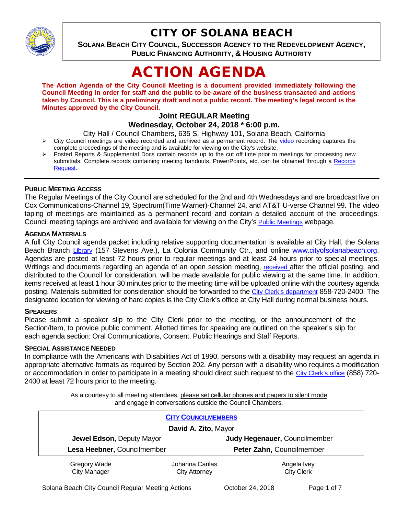

## CITY OF SOLANA BEACH

**SOLANA BEACH CITY COUNCIL, SUCCESSOR AGENCY TO THE REDEVELOPMENT AGENCY, PUBLIC FINANCING AUTHORITY, & HOUSING AUTHORITY** 

# ACTION AGENDA

**The Action Agenda of the City Council Meeting is a document provided immediately following the Council Meeting in order for staff and the public to be aware of the business transacted and actions taken by Council. This is a preliminary draft and not a public record. The meeting's legal record is the Minutes approved by the City Council.**

## **Joint REGULAR Meeting**

#### **Wednesday, October 24, 2018 \* 6:00 p.m.**

City Hall / Council Chambers, 635 S. Highway 101, Solana Beach, California

- $\triangleright$  City Council meetings are [video r](https://solanabeach.12milesout.com/#page=1)ecorded and archived as a permanent record. The video recording captures the complete proceedings of the meeting and is available for viewing on the City's website.
- Posted Reports & Supplemental Docs contain records up to the cut off time prior to meetings for processing new submittals. Complete records containing meeting handouts, PowerPoints, etc. can be obtained through a Records [Request.](http://www.ci.solana-beach.ca.us/index.asp?SEC=F5D45D10-70CE-4291-A27C-7BD633FC6742&Type=B_BASIC)

#### **PUBLIC MEETING ACCESS**

The Regular Meetings of the City Council are scheduled for the 2nd and 4th Wednesdays and are broadcast live on Cox Communications-Channel 19, Spectrum(Time Warner)-Channel 24, and AT&T U-verse Channel 99. The video taping of meetings are maintained as a permanent record and contain a detailed account of the proceedings. Council meeting tapings are archived and available for viewing on the City's [Public Meetings](https://www.ci.solana-beach.ca.us/index.asp?SEC=F0F1200D-21C6-4A88-8AE1-0BC07C1A81A7&Type=B_BASIC) webpage.

#### **AGENDA MATERIALS**

A full City Council agenda packet including relative supporting documentation is available at City Hall, the Solana Beach Branch [Library](http://www.sdcl.org/locations_SB.html) (157 Stevens Ave.), La Colonia Community Ctr., and online [www.cityofsolanabeach.org.](http://www.cityofsolanabeach.org/) Agendas are posted at least 72 hours prior to regular meetings and at least 24 hours prior to special meetings. Writings and documents regarding an agenda of an open session meeting, [received a](mailto:EMAILGRP-CityClerksOfc@cosb.org)fter the official posting, and distributed to the Council for consideration, will be made available for public viewing at the same time. In addition, items received at least 1 hour 30 minutes prior to the meeting time will be uploaded online with the courtesy agenda posting. Materials submitted for consideration should be forwarded to the [City Clerk's department](mailto:EMAILGRP-CityClerksOfc@cosb.org) 858-720-2400. The designated location for viewing of hard copies is the City Clerk's office at City Hall during normal business hours.

#### **SPEAKERS**

Please submit a speaker slip to the City Clerk prior to the meeting, or the announcement of the Section/Item, to provide public comment. Allotted times for speaking are outlined on the speaker's slip for each agenda section: Oral Communications, Consent, Public Hearings and Staff Reports.

#### **SPECIAL ASSISTANCE NEEDED**

In compliance with the Americans with Disabilities Act of 1990, persons with a disability may request an agenda in appropriate alternative formats as required by Section 202. Any person with a disability who requires a modification or accommodation in order to participate in a meeting should direct such request to the [City Clerk's office](mailto:clerkadmin@cosb.org?subject=City%20Clerk%20Notice%20of%20Special%20Services%20Needed) (858) 720- 2400 at least 72 hours prior to the meeting.

> As a courtesy to all meeting attendees, please set cellular phones and pagers to silent mode and engage in conversations outside the Council Chambers.

| <b>CITY COUNCILMEMBERS</b>          |                                        |                                  |
|-------------------------------------|----------------------------------------|----------------------------------|
| David A. Zito, Mayor                |                                        |                                  |
| Jewel Edson, Deputy Mayor           |                                        | Judy Hegenauer, Councilmember    |
| Lesa Heebner, Councilmember         |                                        | Peter Zahn, Councilmember        |
| Gregory Wade<br><b>City Manager</b> | Johanna Canlas<br><b>City Attorney</b> | Angela Ivey<br><b>City Clerk</b> |

Solana Beach City Council Regular Meeting Actions **Corporation Contract Action** Page 1 of 7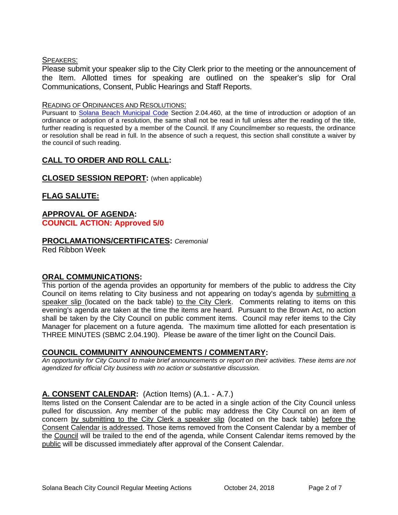#### SPEAKERS:

Please submit your speaker slip to the City Clerk prior to the meeting or the announcement of the Item. Allotted times for speaking are outlined on the speaker's slip for Oral Communications, Consent, Public Hearings and Staff Reports.

#### READING OF ORDINANCES AND RESOLUTIONS:

Pursuant to [Solana Beach Municipal Code](mailto:https://www.codepublishing.com/CA/SolanaBeach/) Section 2.04.460, at the time of introduction or adoption of an ordinance or adoption of a resolution, the same shall not be read in full unless after the reading of the title, further reading is requested by a member of the Council. If any Councilmember so requests, the ordinance or resolution shall be read in full. In the absence of such a request, this section shall constitute a waiver by the council of such reading.

## **CALL TO ORDER AND ROLL CALL:**

## **CLOSED SESSION REPORT:** (when applicable)

## **FLAG SALUTE:**

#### **APPROVAL OF AGENDA: COUNCIL ACTION: Approved 5/0**

## **PROCLAMATIONS/CERTIFICATES:** *Ceremonial*

Red Ribbon Week

## **ORAL COMMUNICATIONS:**

This portion of the agenda provides an opportunity for members of the public to address the City Council on items relating to City business and not appearing on today's agenda by submitting a speaker slip (located on the back table) to the City Clerk. Comments relating to items on this evening's agenda are taken at the time the items are heard. Pursuant to the Brown Act, no action shall be taken by the City Council on public comment items. Council may refer items to the City Manager for placement on a future agenda. The maximum time allotted for each presentation is THREE MINUTES (SBMC 2.04.190). Please be aware of the timer light on the Council Dais.

## **COUNCIL COMMUNITY ANNOUNCEMENTS / COMMENTARY:**

*An opportunity for City Council to make brief announcements or report on their activities. These items are not agendized for official City business with no action or substantive discussion.* 

## **A. CONSENT CALENDAR:** (Action Items) (A.1. - A.7.)

Items listed on the Consent Calendar are to be acted in a single action of the City Council unless pulled for discussion. Any member of the public may address the City Council on an item of concern by submitting to the City Clerk a speaker slip (located on the back table) before the Consent Calendar is addressed. Those items removed from the Consent Calendar by a member of the Council will be trailed to the end of the agenda, while Consent Calendar items removed by the public will be discussed immediately after approval of the Consent Calendar.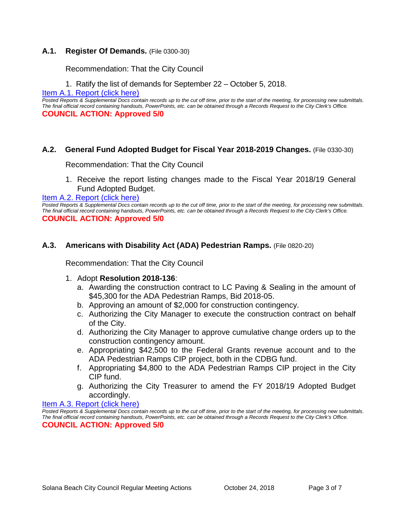#### **A.1. Register Of Demands.** (File 0300-30)

Recommendation: That the City Council

1. Ratify the list of demands for September 22 – October 5, 2018.

Item A.1. Report (click here)

*Posted Reports & Supplemental Docs contain records up to the cut off time, prior to the start of the meeting, for processing new submittals. The final official record containing handouts, PowerPoints, etc. can be obtained through a Records Request to the City Clerk's Office.* **COUNCIL ACTION: Approved 5/0**

#### **A.2. General Fund Adopted Budget for Fiscal Year 2018-2019 Changes.** (File 0330-30)

Recommendation: That the City Council

1. Receive the report listing changes made to the Fiscal Year 2018/19 General Fund Adopted Budget.

[Item A.2. Report \(click here\)](https://solanabeach.govoffice3.com/vertical/Sites/%7B840804C2-F869-4904-9AE3-720581350CE7%7D/uploads/Item_A.2._Report_(click_here)_-_10-24-18.PDF) 

*Posted Reports & Supplemental Docs contain records up to the cut off time, prior to the start of the meeting, for processing new submittals. The final official record containing handouts, PowerPoints, etc. can be obtained through a Records Request to the City Clerk's Office.* **COUNCIL ACTION: Approved 5/0**

#### **A.3. Americans with Disability Act (ADA) Pedestrian Ramps.** (File 0820-20)

Recommendation: That the City Council

#### 1. Adopt **Resolution 2018-136**:

- a. Awarding the construction contract to LC Paving & Sealing in the amount of \$45,300 for the ADA Pedestrian Ramps, Bid 2018-05.
- b. Approving an amount of \$2,000 for construction contingency.
- c. Authorizing the City Manager to execute the construction contract on behalf of the City.
- d. Authorizing the City Manager to approve cumulative change orders up to the construction contingency amount.
- e. Appropriating \$42,500 to the Federal Grants revenue account and to the ADA Pedestrian Ramps CIP project, both in the CDBG fund.
- f. Appropriating \$4,800 to the ADA Pedestrian Ramps CIP project in the City CIP fund.
- g. Authorizing the City Treasurer to amend the FY 2018/19 Adopted Budget accordingly.

[Item A.3. Report \(click here\)](https://solanabeach.govoffice3.com/vertical/Sites/%7B840804C2-F869-4904-9AE3-720581350CE7%7D/uploads/Item_A.3._Report_(click_here)_-_10-24-18.PDF) 

*Posted Reports & Supplemental Docs contain records up to the cut off time, prior to the start of the meeting, for processing new submittals. The final official record containing handouts, PowerPoints, etc. can be obtained through a Records Request to the City Clerk's Office.* **COUNCIL ACTION: Approved 5/0**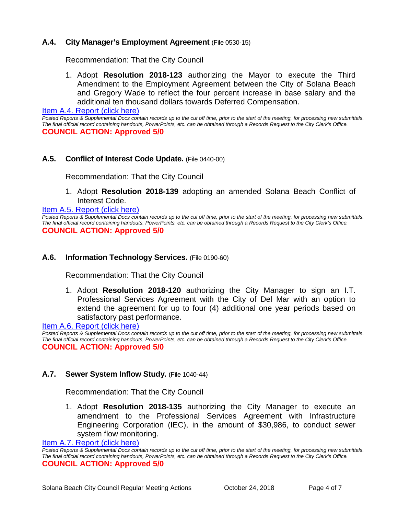## **A.4. City Manager's Employment Agreement** (File 0530-15)

Recommendation: That the City Council

1. Adopt **Resolution 2018-123** authorizing the Mayor to execute the Third Amendment to the Employment Agreement between the City of Solana Beach and Gregory Wade to reflect the four percent increase in base salary and the additional ten thousand dollars towards Deferred Compensation.

[Item A.4. Report \(click here\)](https://solanabeach.govoffice3.com/vertical/Sites/%7B840804C2-F869-4904-9AE3-720581350CE7%7D/uploads/Item_A.4._Report_(click_here)_-_10-24-18.PDF) 

*Posted Reports & Supplemental Docs contain records up to the cut off time, prior to the start of the meeting, for processing new submittals. The final official record containing handouts, PowerPoints, etc. can be obtained through a Records Request to the City Clerk's Office.* **COUNCIL ACTION: Approved 5/0**

#### **A.5. Conflict of Interest Code Update.** (File 0440-00)

Recommendation: That the City Council

1. Adopt **Resolution 2018-139** adopting an amended Solana Beach Conflict of Interest Code.

[Item A.5. Report \(click here\)](https://solanabeach.govoffice3.com/vertical/Sites/%7B840804C2-F869-4904-9AE3-720581350CE7%7D/uploads/Item_A.5._Report_(click_here)_-_10-24-18.PDF) 

*Posted Reports & Supplemental Docs contain records up to the cut off time, prior to the start of the meeting, for processing new submittals. The final official record containing handouts, PowerPoints, etc. can be obtained through a Records Request to the City Clerk's Office.* **COUNCIL ACTION: Approved 5/0**

#### **A.6. Information Technology Services.** (File 0190-60)

Recommendation: That the City Council

1. Adopt **Resolution 2018-120** authorizing the City Manager to sign an I.T. Professional Services Agreement with the City of Del Mar with an option to extend the agreement for up to four (4) additional one year periods based on satisfactory past performance.

[Item A.6. Report \(click here\)](https://solanabeach.govoffice3.com/vertical/Sites/%7B840804C2-F869-4904-9AE3-720581350CE7%7D/uploads/Item_A.6._Report_(click_here)_-_10-24-18.PDF) 

*Posted Reports & Supplemental Docs contain records up to the cut off time, prior to the start of the meeting, for processing new submittals. The final official record containing handouts, PowerPoints, etc. can be obtained through a Records Request to the City Clerk's Office.* **COUNCIL ACTION: Approved 5/0**

#### **A.7. Sewer System Inflow Study.** (File 1040-44)

Recommendation: That the City Council

1. Adopt **Resolution 2018-135** authorizing the City Manager to execute an amendment to the Professional Services Agreement with Infrastructure Engineering Corporation (IEC), in the amount of \$30,986, to conduct sewer system flow monitoring.

[Item A.7. Report \(click here\)](https://solanabeach.govoffice3.com/vertical/Sites/%7B840804C2-F869-4904-9AE3-720581350CE7%7D/uploads/Item_A.7._Report_(click_here)_-_10-24-18.PDF) 

*Posted Reports & Supplemental Docs contain records up to the cut off time, prior to the start of the meeting, for processing new submittals. The final official record containing handouts, PowerPoints, etc. can be obtained through a Records Request to the City Clerk's Office.* **COUNCIL ACTION: Approved 5/0**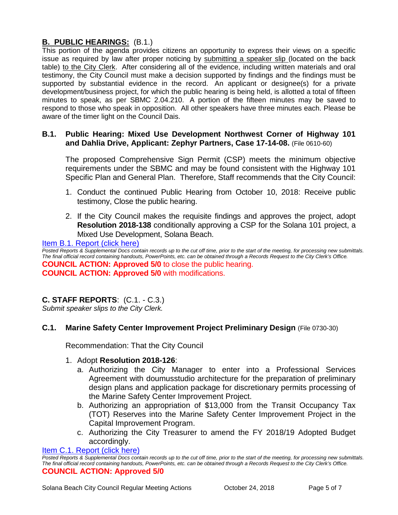## **B. PUBLIC HEARINGS:** (B.1.)

This portion of the agenda provides citizens an opportunity to express their views on a specific issue as required by law after proper noticing by submitting a speaker slip (located on the back table) to the City Clerk. After considering all of the evidence, including written materials and oral testimony, the City Council must make a decision supported by findings and the findings must be supported by substantial evidence in the record. An applicant or designee(s) for a private development/business project, for which the public hearing is being held, is allotted a total of fifteen minutes to speak, as per SBMC 2.04.210. A portion of the fifteen minutes may be saved to respond to those who speak in opposition. All other speakers have three minutes each. Please be aware of the timer light on the Council Dais.

## **B.1. Public Hearing: Mixed Use Development Northwest Corner of Highway 101 and Dahlia Drive, Applicant: Zephyr Partners, Case 17-14-08.** (File 0610-60)

The proposed Comprehensive Sign Permit (CSP) meets the minimum objective requirements under the SBMC and may be found consistent with the Highway 101 Specific Plan and General Plan. Therefore, Staff recommends that the City Council:

- 1. Conduct the continued Public Hearing from October 10, 2018: Receive public testimony, Close the public hearing.
- 2. If the City Council makes the requisite findings and approves the project, adopt **Resolution 2018-138** conditionally approving a CSP for the Solana 101 project, a Mixed Use Development, Solana Beach.

[Item B.1. Report \(click here\)](https://solanabeach.govoffice3.com/vertical/Sites/%7B840804C2-F869-4904-9AE3-720581350CE7%7D/uploads/Item_B.1._Report_(click_here)_-_10-24-18.PDF) 

Posted Reports & Supplemental Docs contain records up to the cut off time, prior to the start of the meeting, for processing new submittals. *The final official record containing handouts, PowerPoints, etc. can be obtained through a Records Request to the City Clerk's Office.* **COUNCIL ACTION: Approved 5/0** to close the public hearing. **COUNCIL ACTION: Approved 5/0** with modifications.

## **C. STAFF REPORTS**: (C.1. - C.3.)

*Submit speaker slips to the City Clerk.*

## **C.1. Marine Safety Center Improvement Project Preliminary Design** (File 0730-30)

Recommendation: That the City Council

- 1. Adopt **Resolution 2018-126**:
	- a. Authorizing the City Manager to enter into a Professional Services Agreement with doumusstudio architecture for the preparation of preliminary design plans and application package for discretionary permits processing of the Marine Safety Center Improvement Project.
	- b. Authorizing an appropriation of \$13,000 from the Transit Occupancy Tax (TOT) Reserves into the Marine Safety Center Improvement Project in the Capital Improvement Program.
	- c. Authorizing the City Treasurer to amend the FY 2018/19 Adopted Budget accordingly.

Item C.1. Report (click here)

*Posted Reports & Supplemental Docs contain records up to the cut off time, prior to the start of the meeting, for processing new submittals. The final official record containing handouts, PowerPoints, etc. can be obtained through a Records Request to the City Clerk's Office.* **COUNCIL ACTION: Approved 5/0**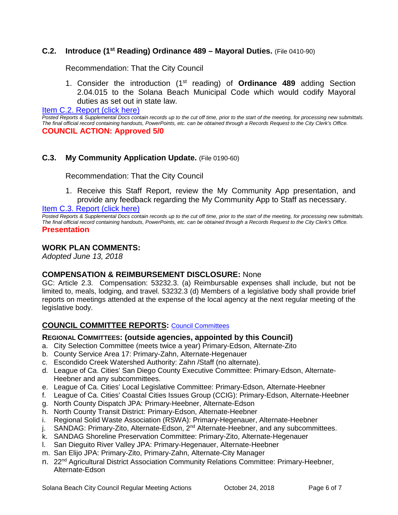#### **C.2. Introduce (1st Reading) Ordinance 489 – Mayoral Duties.** (File 0410-90)

Recommendation: That the City Council

1. Consider the introduction (1st reading) of **Ordinance 489** adding Section 2.04.015 to the Solana Beach Municipal Code which would codify Mayoral duties as set out in state law.

[Item C.2. Report \(click here\)](https://solanabeach.govoffice3.com/vertical/Sites/%7B840804C2-F869-4904-9AE3-720581350CE7%7D/uploads/Item_C.2._Report_(click_here)_-_10-24-18.PDF) 

*Posted Reports & Supplemental Docs contain records up to the cut off time, prior to the start of the meeting, for processing new submittals. The final official record containing handouts, PowerPoints, etc. can be obtained through a Records Request to the City Clerk's Office.* **COUNCIL ACTION: Approved 5/0**

#### **C.3. My Community Application Update.** (File 0190-60)

Recommendation: That the City Council

1. Receive this Staff Report, review the My Community App presentation, and provide any feedback regarding the My Community App to Staff as necessary.

[Item C.3. Report \(click here\)](https://solanabeach.govoffice3.com/vertical/Sites/%7B840804C2-F869-4904-9AE3-720581350CE7%7D/uploads/Item_C.3._Report_(click_here)_-_10-24-18.PDF) 

*Posted Reports & Supplemental Docs contain records up to the cut off time, prior to the start of the meeting, for processing new submittals. The final official record containing handouts, PowerPoints, etc. can be obtained through a Records Request to the City Clerk's Office.* **Presentation** 

#### **WORK PLAN COMMENTS:**

*Adopted June 13, 2018*

#### **COMPENSATION & REIMBURSEMENT DISCLOSURE:** None

GC: Article 2.3. Compensation: 53232.3. (a) Reimbursable expenses shall include, but not be limited to, meals, lodging, and travel. 53232.3 (d) Members of a legislative body shall provide brief reports on meetings attended at the expense of the local agency at the next regular meeting of the legislative body.

#### **COUNCIL COMMITTEE REPORTS:** [Council Committees](https://www.ci.solana-beach.ca.us/index.asp?SEC=584E1192-3850-46EA-B977-088AC3E81E0D&Type=B_BASIC)

#### **REGIONAL COMMITTEES: (outside agencies, appointed by this Council)**

- a. City Selection Committee (meets twice a year) Primary-Edson, Alternate-Zito
- b. County Service Area 17: Primary-Zahn, Alternate-Hegenauer
- c. Escondido Creek Watershed Authority: Zahn /Staff (no alternate).
- d. League of Ca. Cities' San Diego County Executive Committee: Primary-Edson, Alternate-Heebner and any subcommittees.
- e. League of Ca. Cities' Local Legislative Committee: Primary-Edson, Alternate-Heebner
- f. League of Ca. Cities' Coastal Cities Issues Group (CCIG): Primary-Edson, Alternate-Heebner
- g. North County Dispatch JPA: Primary-Heebner, Alternate-Edson
- h. North County Transit District: Primary-Edson, Alternate-Heebner
- i. Regional Solid Waste Association (RSWA): Primary-Hegenauer, Alternate-Heebner
- j. SANDAG: Primary-Zito, Alternate-Edson, 2<sup>nd</sup> Alternate-Heebner, and any subcommittees.
- k. SANDAG Shoreline Preservation Committee: Primary-Zito, Alternate-Hegenauer
- l. San Dieguito River Valley JPA: Primary-Hegenauer, Alternate-Heebner
- m. San Elijo JPA: Primary-Zito, Primary-Zahn, Alternate-City Manager
- n. 22<sup>nd</sup> Agricultural District Association Community Relations Committee: Primary-Heebner, Alternate-Edson